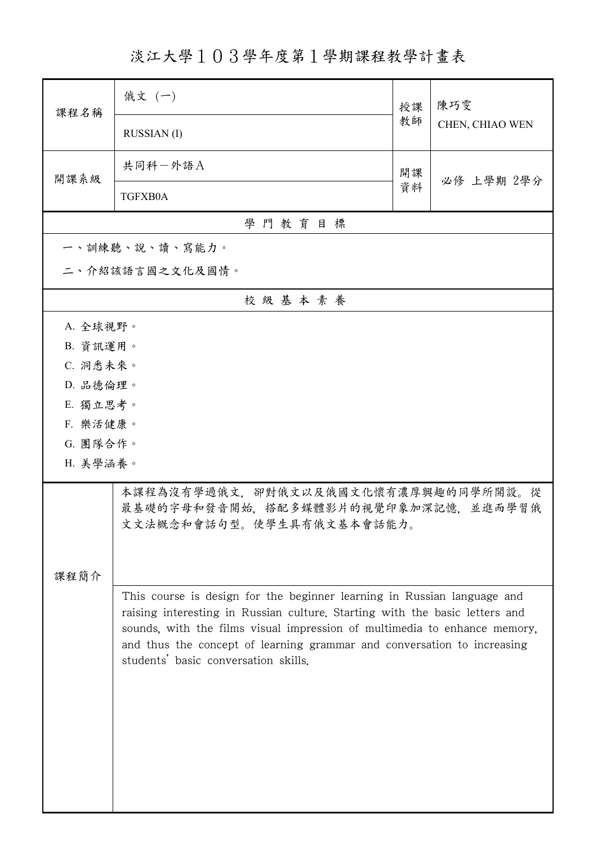淡江大學103學年度第1學期課程教學計畫表

| 課程名稱                 | 俄文 (一)                                                                                                                                                                                                                                                                                                         | 授課 | 陳巧雯             |  |  |  |
|----------------------|----------------------------------------------------------------------------------------------------------------------------------------------------------------------------------------------------------------------------------------------------------------------------------------------------------------|----|-----------------|--|--|--|
|                      | <b>RUSSIAN</b> (I)                                                                                                                                                                                                                                                                                             | 教師 | CHEN, CHIAO WEN |  |  |  |
| 開課系級                 | 共同科一外語A                                                                                                                                                                                                                                                                                                        | 開課 | 必修 上學期 2學分      |  |  |  |
|                      | TGFXB0A                                                                                                                                                                                                                                                                                                        | 資料 |                 |  |  |  |
| 學門教育目標               |                                                                                                                                                                                                                                                                                                                |    |                 |  |  |  |
|                      | 一、訓練聽、說、讀、寫能力。                                                                                                                                                                                                                                                                                                 |    |                 |  |  |  |
| 二、介紹該語言國之文化及國情。      |                                                                                                                                                                                                                                                                                                                |    |                 |  |  |  |
|                      | 校級基本素養                                                                                                                                                                                                                                                                                                         |    |                 |  |  |  |
| A. 全球視野。             |                                                                                                                                                                                                                                                                                                                |    |                 |  |  |  |
| B. 資訊運用。             |                                                                                                                                                                                                                                                                                                                |    |                 |  |  |  |
| C. 洞悉未來。             |                                                                                                                                                                                                                                                                                                                |    |                 |  |  |  |
| D. 品德倫理。             |                                                                                                                                                                                                                                                                                                                |    |                 |  |  |  |
| E. 獨立思考。             |                                                                                                                                                                                                                                                                                                                |    |                 |  |  |  |
| F. 樂活健康。             |                                                                                                                                                                                                                                                                                                                |    |                 |  |  |  |
| G. 團隊合作。<br>H. 美學涵養。 |                                                                                                                                                                                                                                                                                                                |    |                 |  |  |  |
|                      |                                                                                                                                                                                                                                                                                                                |    |                 |  |  |  |
|                      | 本課程為沒有學過俄文、卻對俄文以及俄國文化懷有濃厚興趣的同學所開設。從<br>最基礎的字母和發音開始,搭配多媒體影片的視覺印象加深記憶,並進而學習俄<br>文文法概念和會話句型。使學生具有俄文基本會話能力。                                                                                                                                                                                                        |    |                 |  |  |  |
|                      |                                                                                                                                                                                                                                                                                                                |    |                 |  |  |  |
| 課程簡介                 |                                                                                                                                                                                                                                                                                                                |    |                 |  |  |  |
|                      | This course is design for the beginner learning in Russian language and<br>raising interesting in Russian culture. Starting with the basic letters and<br>sounds, with the films visual impression of multimedia to enhance memory,<br>and thus the concept of learning grammar and conversation to increasing |    |                 |  |  |  |
|                      |                                                                                                                                                                                                                                                                                                                |    |                 |  |  |  |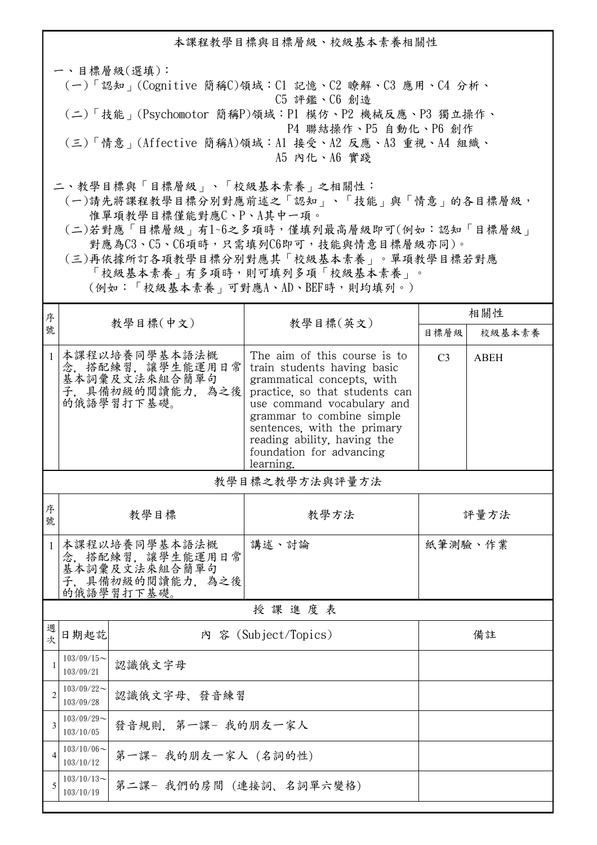本課程教學目標與目標層級、校級基本素養相關性 一、目標層級(選填): (一)「認知」(Cognitive 簡稱C)領域:C1 記憶、C2 瞭解、C3 應用、C4 分析、 C5 評鑑、C6 創造 (二)「技能」(Psychomotor 簡稱P)領域:P1 模仿、P2 機械反應、P3 獨立操作、 P4 聯結操作、P5 自動化、P6 創作 (三)「情意」(Affective 簡稱A)領域:A1 接受、A2 反應、A3 重視、A4 組織、 A5 內化、A6 實踐 二、教學目標與「目標層級」、「校級基本素養」之相關性: (一)請先將課程教學目標分別對應前述之「認知」、「技能」與「情意」的各目標層級, 惟單項教學目標僅能對應C、P、A其中一項。

 (二)若對應「目標層級」有1~6之多項時,僅填列最高層級即可(例如:認知「目標層級」 對應為C3、C5、C6項時,只需填列C6即可,技能與情意目標層級亦同)。

 (三)再依據所訂各項教學目標分別對應其「校級基本素養」。單項教學目標若對應 「校級基本素養」有多項時,則可填列多項「校級基本素養」。 (例如:「校級基本素養」可對應A、AD、BEF時,則均填列。)

| 序              |                                                                                    |                                                                                    |                                                                                                                                                                                                                                                                                               | 相關性            |             |  |  |
|----------------|------------------------------------------------------------------------------------|------------------------------------------------------------------------------------|-----------------------------------------------------------------------------------------------------------------------------------------------------------------------------------------------------------------------------------------------------------------------------------------------|----------------|-------------|--|--|
| 號              |                                                                                    | 教學目標(中文)                                                                           | 教學目標(英文)                                                                                                                                                                                                                                                                                      | 目標層級           | 校級基本素養      |  |  |
| $\mathbf{1}$   |                                                                                    | 本課程以培養同學基本語法概<br>念,搭配練習,讓學生能運用日常<br>基本詞彙及文法來組合簡單句<br>子,具備初級的閱讀能力,為之後<br>的俄語學習打下基礎。 | The aim of this course is to<br>train students having basic<br>grammatical concepts, with<br>practice, so that students can<br>use command vocabulary and<br>grammar to combine simple<br>sentences, with the primary<br>reading ability, having the<br>foundation for advancing<br>learning. | C <sub>3</sub> | <b>ABEH</b> |  |  |
|                | 教學目標之教學方法與評量方法                                                                     |                                                                                    |                                                                                                                                                                                                                                                                                               |                |             |  |  |
| 序<br>號         | 教學目標                                                                               |                                                                                    | 教學方法                                                                                                                                                                                                                                                                                          | 評量方法           |             |  |  |
| $\mathbf{1}$   | 本課程以培養同學基本語法概<br>念、搭配練習、讓學生能運用日常<br>基本詞彙及文法來組合簡單句<br>子,具備初級的閱讀能力,為之後<br>的俄語學習打下基礎。 |                                                                                    | 講述、討論                                                                                                                                                                                                                                                                                         | 紙筆測驗、作業        |             |  |  |
| 授課進度表          |                                                                                    |                                                                                    |                                                                                                                                                                                                                                                                                               |                |             |  |  |
| 週<br>欤         | 日期起訖                                                                               | 內 容 (Subject/Topics)                                                               |                                                                                                                                                                                                                                                                                               | 備註             |             |  |  |
| $\mathbf{1}$   | $103/09/15$ ~<br>103/09/21                                                         | 認識俄文字母                                                                             |                                                                                                                                                                                                                                                                                               |                |             |  |  |
| $\overline{2}$ | $103/09/22$ ~<br>認識俄文字母、發音練習<br>103/09/28                                          |                                                                                    |                                                                                                                                                                                                                                                                                               |                |             |  |  |
| 3              | $103/09/29$ ~<br>發音規則. 第一課- 我的朋友一家人<br>103/10/05                                   |                                                                                    |                                                                                                                                                                                                                                                                                               |                |             |  |  |
| $\overline{4}$ | $103/10/06 \sim$<br>第一課- 我的朋友一家人 (名詞的性)<br>103/10/12                               |                                                                                    |                                                                                                                                                                                                                                                                                               |                |             |  |  |
| 5              | $103/10/13$ ~<br>第二課- 我們的房間 (連接詞、名詞單六變格)<br>103/10/19                              |                                                                                    |                                                                                                                                                                                                                                                                                               |                |             |  |  |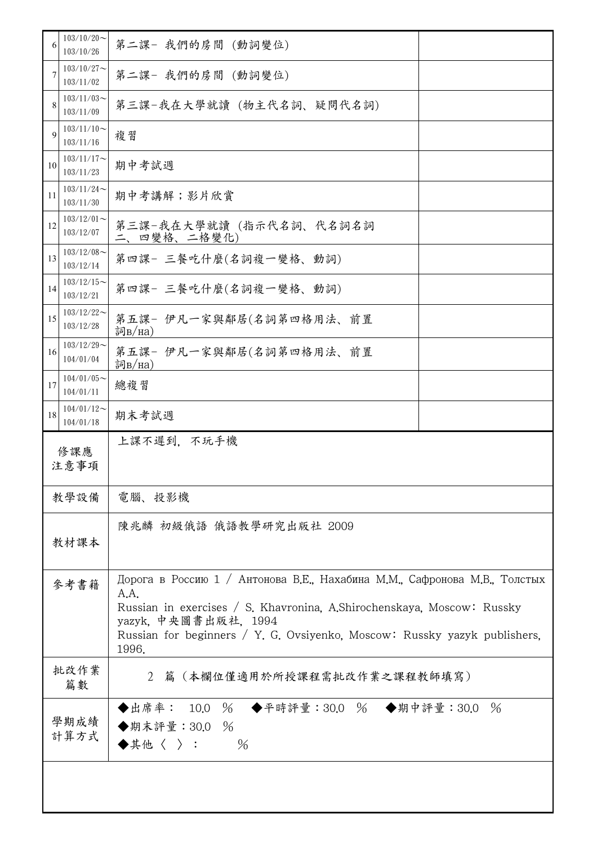| 6           | $103/10/20$ ~<br>103/10/26 | 第二課- 我們的房間 (動詞變位)                                                                                                                                                                                                                                                         |  |
|-------------|----------------------------|---------------------------------------------------------------------------------------------------------------------------------------------------------------------------------------------------------------------------------------------------------------------------|--|
| 7           | $103/10/27$ ~<br>103/11/02 | 第二課- 我們的房間 (動詞變位)                                                                                                                                                                                                                                                         |  |
| 8           | $103/11/03$ ~<br>103/11/09 | 第三課-我在大學就讀(物主代名詞、疑問代名詞)                                                                                                                                                                                                                                                   |  |
| $\mathbf Q$ | $103/11/10$ ~<br>103/11/16 | 複習                                                                                                                                                                                                                                                                        |  |
| 10          | $103/11/17$ ~<br>103/11/23 | 期中考試週                                                                                                                                                                                                                                                                     |  |
| 11          | $103/11/24$ ~<br>103/11/30 | 期中考講解;影片欣賞                                                                                                                                                                                                                                                                |  |
| 12          | $103/12/01$ ~<br>103/12/07 | 第三課-我在大學就讀(指示代名詞、代名詞名詞<br>二、四變格、二格變化)                                                                                                                                                                                                                                     |  |
| 13          | $103/12/08$ ~<br>103/12/14 | 第四課- 三餐吃什麼(名詞複一變格、動詞)                                                                                                                                                                                                                                                     |  |
| 14          | $103/12/15$ ~<br>103/12/21 | 第四課- 三餐吃什麼(名詞複一變格、動詞)                                                                                                                                                                                                                                                     |  |
| 15          | $103/12/22$ ~<br>103/12/28 | 第五課- 伊凡一家與鄰居(名詞第四格用法、前置<br>詞B/Ha)                                                                                                                                                                                                                                         |  |
| 16          | $103/12/29$ ~<br>104/01/04 | 第五課- 伊凡一家與鄰居(名詞第四格用法、前置<br>詞B/Ha)                                                                                                                                                                                                                                         |  |
| 17          | $104/01/05$ ~<br>104/01/11 | 總複習                                                                                                                                                                                                                                                                       |  |
| 18          | $104/01/12$ ~<br>104/01/18 | 期末考試週                                                                                                                                                                                                                                                                     |  |
|             | 上課不遲到,不玩手機<br>修課應<br>注意事項  |                                                                                                                                                                                                                                                                           |  |
|             |                            |                                                                                                                                                                                                                                                                           |  |
|             | 教學設備                       | 電腦、投影機                                                                                                                                                                                                                                                                    |  |
|             | 教材課本                       | 陳兆麟 初級俄語 俄語教學研究出版社 2009                                                                                                                                                                                                                                                   |  |
|             | 參考書籍                       | Дорога в Россию 1 / Антонова В.Е., Нахабина М.М., Сафронова М.В., Толстых<br>A.A.<br>Russian in exercises / S. Khavronina, A.Shirochenskaya, Moscow: Russky<br>yazyk. 中央圖書出版社, 1994<br>Russian for beginners / Y. G. Ovsiyenko, Moscow: Russky yazyk publishers,<br>1996. |  |
|             | 批改作業<br>篇數                 | 2 篇 (本欄位僅適用於所授課程需批改作業之課程教師填寫)                                                                                                                                                                                                                                             |  |
|             | 學期成績<br>計算方式               | ◆平時評量:30.0 % ◆期中評量:30.0 %<br>◆出席率: 10.0 %<br>◆期末評量: 30.0 %<br>◆其他〈 〉 :<br>$\frac{0}{6}$                                                                                                                                                                                   |  |